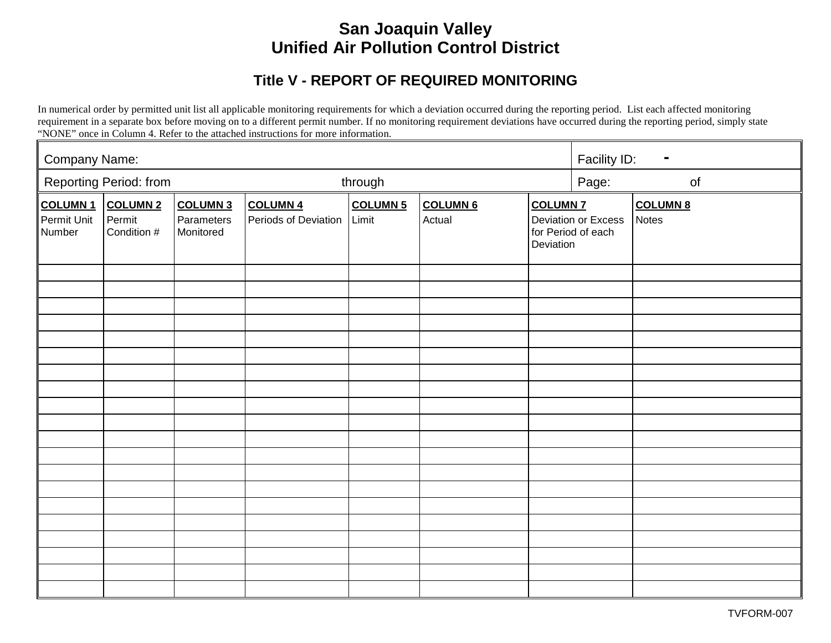# **San Joaquin Valley Unified Air Pollution Control District**

## **Title V - REPORT OF REQUIRED MONITORING**

In numerical order by permitted unit list all applicable monitoring requirements for which a deviation occurred during the reporting period. List each affected monitoring requirement in a separate box before moving on to a different permit number. If no monitoring requirement deviations have occurred during the reporting period, simply state "NONE" once in Column 4. Refer to the attached instructions for more information.

| Company Name:                           |                                          |                                            |                                         |                          |                           |                                                                           | Facility ID:<br>$\blacksquare$ |                                 |
|-----------------------------------------|------------------------------------------|--------------------------------------------|-----------------------------------------|--------------------------|---------------------------|---------------------------------------------------------------------------|--------------------------------|---------------------------------|
|                                         | Reporting Period: from                   |                                            | through                                 |                          |                           |                                                                           | Page:<br>of                    |                                 |
| <b>COLUMN1</b><br>Permit Unit<br>Number | <b>COLUMN 2</b><br>Permit<br>Condition # | <b>COLUMN 3</b><br>Parameters<br>Monitored | <b>COLUMN 4</b><br>Periods of Deviation | <b>COLUMN 5</b><br>Limit | <b>COLUMN 6</b><br>Actual | <b>COLUMN 7</b><br>Deviation or Excess<br>for Period of each<br>Deviation |                                | <b>COLUMN 8</b><br><b>Notes</b> |
|                                         |                                          |                                            |                                         |                          |                           |                                                                           |                                |                                 |
|                                         |                                          |                                            |                                         |                          |                           |                                                                           |                                |                                 |
|                                         |                                          |                                            |                                         |                          |                           |                                                                           |                                |                                 |
|                                         |                                          |                                            |                                         |                          |                           |                                                                           |                                |                                 |
|                                         |                                          |                                            |                                         |                          |                           |                                                                           |                                |                                 |
|                                         |                                          |                                            |                                         |                          |                           |                                                                           |                                |                                 |
|                                         |                                          |                                            |                                         |                          |                           |                                                                           |                                |                                 |
|                                         |                                          |                                            |                                         |                          |                           |                                                                           |                                |                                 |